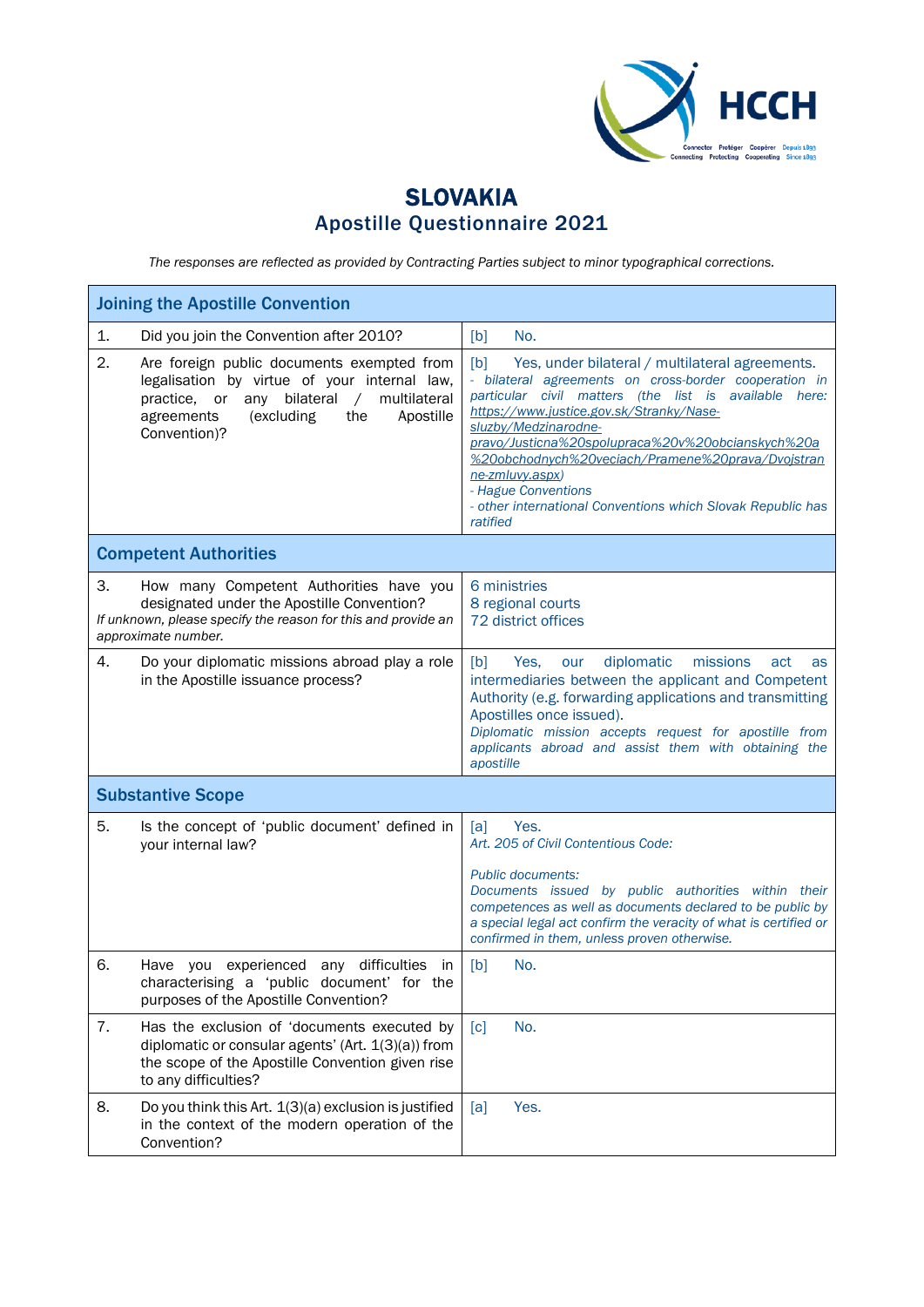

## SLOVAKIA Apostille Questionnaire 2021

*The responses are reflected as provided by Contracting Parties subject to minor typographical corrections.*

| <b>Joining the Apostille Convention</b>                                                                                                                                                                                  |                                                                                                                                                                                                                                                                                                                                                                                                                                                                                          |  |  |
|--------------------------------------------------------------------------------------------------------------------------------------------------------------------------------------------------------------------------|------------------------------------------------------------------------------------------------------------------------------------------------------------------------------------------------------------------------------------------------------------------------------------------------------------------------------------------------------------------------------------------------------------------------------------------------------------------------------------------|--|--|
| 1.<br>Did you join the Convention after 2010?                                                                                                                                                                            | No.<br>[b]                                                                                                                                                                                                                                                                                                                                                                                                                                                                               |  |  |
| 2.<br>Are foreign public documents exempted from<br>legalisation by virtue of your internal law,<br>multilateral<br>bilateral<br>practice.<br>or<br>any<br>$\sqrt{2}$<br>(excluding<br>the<br>agreements<br>Convention)? | Yes, under bilateral / multilateral agreements.<br>[b]<br>- bilateral agreements on cross-border cooperation in<br>particular civil matters (the list is available here:<br>https://www.justice.gov.sk/Stranky/Nase-<br>Apostille<br>sluzby/Medzinarodne-<br>pravo/Justicna%20spolupraca%20v%20obcianskych%20a<br>%20obchodnych%20veciach/Pramene%20prava/Dvojstran<br>ne-zmluvy.aspx)<br>- Hague Conventions<br>- other international Conventions which Slovak Republic has<br>ratified |  |  |
| <b>Competent Authorities</b>                                                                                                                                                                                             |                                                                                                                                                                                                                                                                                                                                                                                                                                                                                          |  |  |
| 3.<br>How many Competent Authorities have you<br>designated under the Apostille Convention?<br>If unknown, please specify the reason for this and provide an<br>approximate number.                                      | 6 ministries<br>8 regional courts<br>72 district offices                                                                                                                                                                                                                                                                                                                                                                                                                                 |  |  |
| 4.<br>Do your diplomatic missions abroad play a role<br>in the Apostille issuance process?                                                                                                                               | diplomatic<br>missions<br>[b]<br>Yes.<br>act<br>our<br>as<br>intermediaries between the applicant and Competent<br>Authority (e.g. forwarding applications and transmitting<br>Apostilles once issued).<br>Diplomatic mission accepts request for apostille from<br>applicants abroad and assist them with obtaining the<br>apostille                                                                                                                                                    |  |  |
| <b>Substantive Scope</b>                                                                                                                                                                                                 |                                                                                                                                                                                                                                                                                                                                                                                                                                                                                          |  |  |
| 5.<br>Is the concept of 'public document' defined in<br>your internal law?                                                                                                                                               | [a]<br>Yes.<br>Art. 205 of Civil Contentious Code:<br><b>Public documents:</b><br>Documents issued by public authorities within their<br>competences as well as documents declared to be public by<br>a special legal act confirm the veracity of what is certified or<br>confirmed in them, unless proven otherwise.                                                                                                                                                                    |  |  |
| 6.<br>difficulties<br>you experienced<br>any<br>Have<br>characterising a 'public document' for the<br>purposes of the Apostille Convention?                                                                              | [b]<br>No.<br>in                                                                                                                                                                                                                                                                                                                                                                                                                                                                         |  |  |
| 7.<br>Has the exclusion of 'documents executed by<br>diplomatic or consular agents' (Art. 1(3)(a)) from<br>the scope of the Apostille Convention given rise<br>to any difficulties?                                      | No.<br>$\lceil c \rceil$                                                                                                                                                                                                                                                                                                                                                                                                                                                                 |  |  |
| 8.<br>Do you think this Art. 1(3)(a) exclusion is justified<br>in the context of the modern operation of the<br>Convention?                                                                                              | Yes.<br>[a]                                                                                                                                                                                                                                                                                                                                                                                                                                                                              |  |  |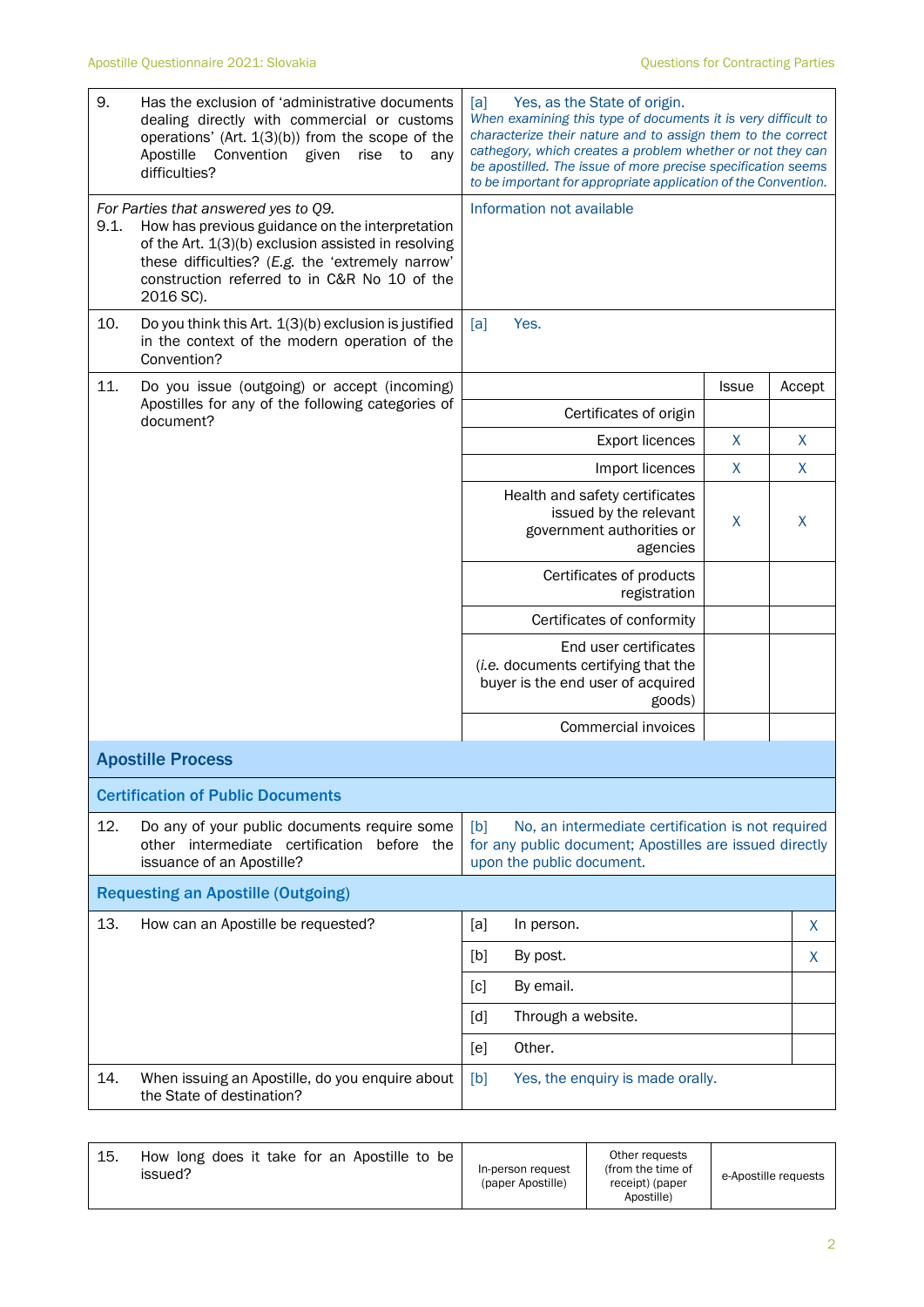| 9.   | Has the exclusion of 'administrative documents<br>dealing directly with commercial or customs<br>operations' (Art. $1(3)(b)$ ) from the scope of the<br>Apostille<br>Convention<br>given<br>rise<br>to<br>any<br>difficulties?                                  | Yes, as the State of origin.<br>[a]<br>When examining this type of documents it is very difficult to<br>characterize their nature and to assign them to the correct<br>cathegory, which creates a problem whether or not they can<br>be apostilled. The issue of more precise specification seems<br>to be important for appropriate application of the Convention. |       |        |  |
|------|-----------------------------------------------------------------------------------------------------------------------------------------------------------------------------------------------------------------------------------------------------------------|---------------------------------------------------------------------------------------------------------------------------------------------------------------------------------------------------------------------------------------------------------------------------------------------------------------------------------------------------------------------|-------|--------|--|
| 9.1. | For Parties that answered yes to Q9.<br>How has previous guidance on the interpretation<br>of the Art. 1(3)(b) exclusion assisted in resolving<br>these difficulties? (E.g. the 'extremely narrow'<br>construction referred to in C&R No 10 of the<br>2016 SC). | Information not available                                                                                                                                                                                                                                                                                                                                           |       |        |  |
| 10.  | Do you think this Art. 1(3)(b) exclusion is justified<br>in the context of the modern operation of the<br>Convention?                                                                                                                                           | [a]<br>Yes.                                                                                                                                                                                                                                                                                                                                                         |       |        |  |
| 11.  | Do you issue (outgoing) or accept (incoming)                                                                                                                                                                                                                    |                                                                                                                                                                                                                                                                                                                                                                     | Issue | Accept |  |
|      | Apostilles for any of the following categories of<br>document?                                                                                                                                                                                                  | Certificates of origin                                                                                                                                                                                                                                                                                                                                              |       |        |  |
|      |                                                                                                                                                                                                                                                                 | <b>Export licences</b>                                                                                                                                                                                                                                                                                                                                              | X     | X      |  |
|      |                                                                                                                                                                                                                                                                 | Import licences                                                                                                                                                                                                                                                                                                                                                     | X     | X      |  |
|      |                                                                                                                                                                                                                                                                 | Health and safety certificates<br>issued by the relevant<br>X<br>government authorities or<br>agencies                                                                                                                                                                                                                                                              |       |        |  |
|      |                                                                                                                                                                                                                                                                 | Certificates of products<br>registration                                                                                                                                                                                                                                                                                                                            |       |        |  |
|      |                                                                                                                                                                                                                                                                 | Certificates of conformity                                                                                                                                                                                                                                                                                                                                          |       |        |  |
|      |                                                                                                                                                                                                                                                                 | End user certificates<br>(i.e. documents certifying that the<br>buyer is the end user of acquired<br>goods)                                                                                                                                                                                                                                                         |       |        |  |
|      |                                                                                                                                                                                                                                                                 | Commercial invoices                                                                                                                                                                                                                                                                                                                                                 |       |        |  |
|      | <b>Apostille Process</b>                                                                                                                                                                                                                                        |                                                                                                                                                                                                                                                                                                                                                                     |       |        |  |
|      | <b>Certification of Public Documents</b>                                                                                                                                                                                                                        |                                                                                                                                                                                                                                                                                                                                                                     |       |        |  |
| 12.  | Do any of your public documents require some<br>other intermediate certification before the<br>issuance of an Apostille?                                                                                                                                        | [b]<br>No, an intermediate certification is not required<br>for any public document; Apostilles are issued directly<br>upon the public document.                                                                                                                                                                                                                    |       |        |  |
|      | <b>Requesting an Apostille (Outgoing)</b>                                                                                                                                                                                                                       |                                                                                                                                                                                                                                                                                                                                                                     |       |        |  |
| 13.  | How can an Apostille be requested?                                                                                                                                                                                                                              | [a]<br>In person.                                                                                                                                                                                                                                                                                                                                                   |       | X      |  |
|      |                                                                                                                                                                                                                                                                 | [b]<br>By post.                                                                                                                                                                                                                                                                                                                                                     |       | X      |  |
|      |                                                                                                                                                                                                                                                                 | By email.<br>[c]                                                                                                                                                                                                                                                                                                                                                    |       |        |  |
|      |                                                                                                                                                                                                                                                                 | Through a website.<br>[d]                                                                                                                                                                                                                                                                                                                                           |       |        |  |
|      |                                                                                                                                                                                                                                                                 | Other.<br>[e]                                                                                                                                                                                                                                                                                                                                                       |       |        |  |
| 14.  | When issuing an Apostille, do you enquire about<br>the State of destination?                                                                                                                                                                                    | [b]<br>Yes, the enquiry is made orally.                                                                                                                                                                                                                                                                                                                             |       |        |  |

| 15. | How long does it take for an Apostille to be<br>issued? | In-person request<br>(paper Apostille) | Other requests<br>(from the time of<br>receipt) (paper<br>Apostille) | e-Apostille requests |
|-----|---------------------------------------------------------|----------------------------------------|----------------------------------------------------------------------|----------------------|
|-----|---------------------------------------------------------|----------------------------------------|----------------------------------------------------------------------|----------------------|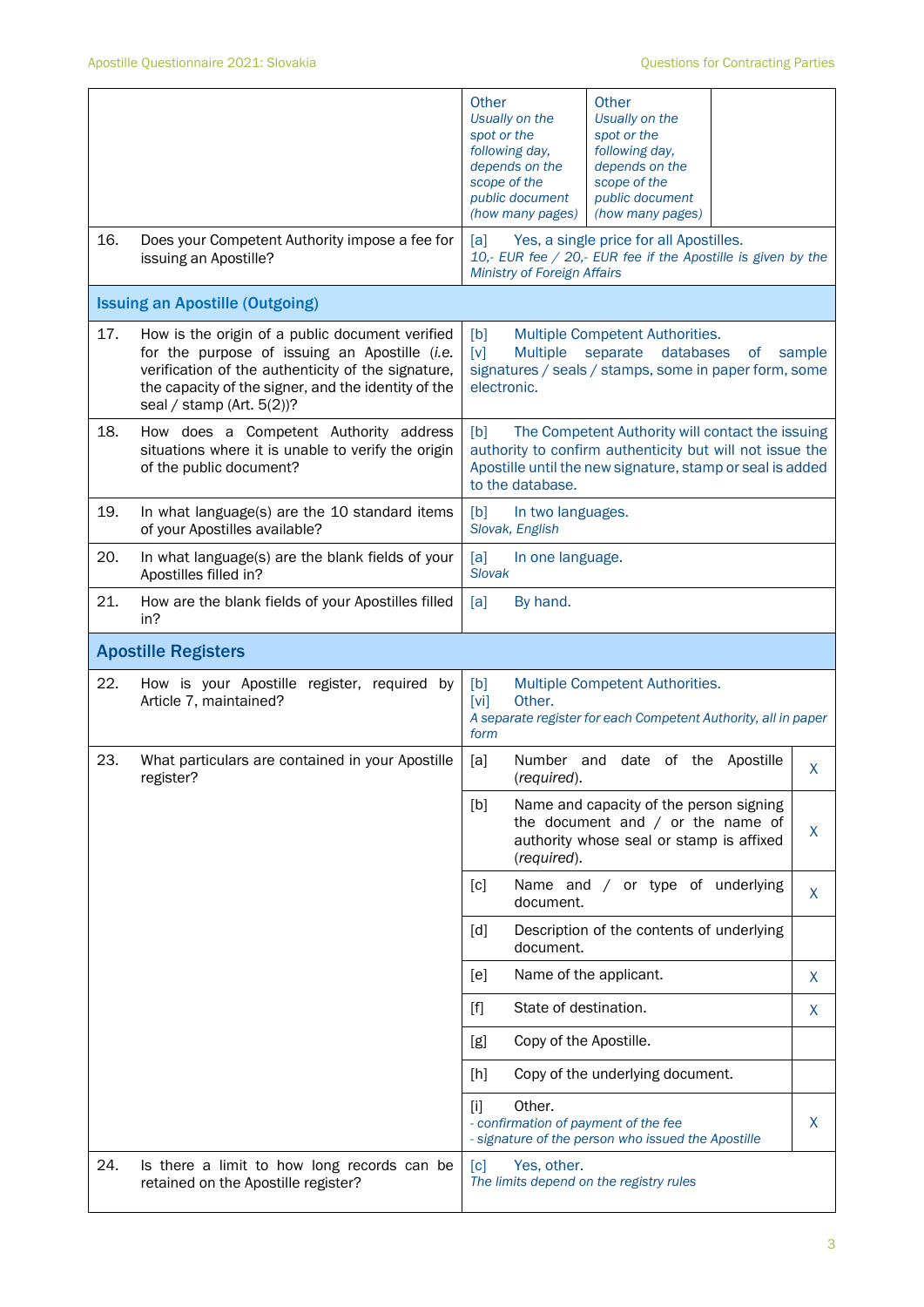|     |                                                                                                                                                                                                                                               | Other<br>Other<br>Usually on the<br>Usually on the<br>spot or the<br>spot or the<br>following day,<br>following day,<br>depends on the<br>depends on the<br>scope of the<br>scope of the<br>public document<br>public document<br>(how many pages)<br>(how many pages) |
|-----|-----------------------------------------------------------------------------------------------------------------------------------------------------------------------------------------------------------------------------------------------|------------------------------------------------------------------------------------------------------------------------------------------------------------------------------------------------------------------------------------------------------------------------|
| 16. | Does your Competent Authority impose a fee for<br>issuing an Apostille?                                                                                                                                                                       | [a]<br>Yes, a single price for all Apostilles.<br>10,- EUR fee / 20,- EUR fee if the Apostille is given by the<br><b>Ministry of Foreign Affairs</b>                                                                                                                   |
|     | <b>Issuing an Apostille (Outgoing)</b>                                                                                                                                                                                                        |                                                                                                                                                                                                                                                                        |
| 17. | How is the origin of a public document verified<br>for the purpose of issuing an Apostille (i.e.<br>verification of the authenticity of the signature,<br>the capacity of the signer, and the identity of the<br>seal / stamp (Art. $5(2)$ )? | [b]<br>Multiple Competent Authorities.<br>databases<br>[v]<br>Multiple<br>separate<br>0f<br>sample<br>signatures / seals / stamps, some in paper form, some<br>electronic.                                                                                             |
| 18. | How does a Competent Authority address<br>situations where it is unable to verify the origin<br>of the public document?                                                                                                                       | [b]<br>The Competent Authority will contact the issuing<br>authority to confirm authenticity but will not issue the<br>Apostille until the new signature, stamp or seal is added<br>to the database.                                                                   |
| 19. | In what language(s) are the 10 standard items<br>of your Apostilles available?                                                                                                                                                                | [b]<br>In two languages.<br>Slovak, English                                                                                                                                                                                                                            |
| 20. | In what language(s) are the blank fields of your<br>Apostilles filled in?                                                                                                                                                                     | [a]<br>In one language.<br><b>Slovak</b>                                                                                                                                                                                                                               |
| 21. | How are the blank fields of your Apostilles filled<br>in?                                                                                                                                                                                     | [a]<br>By hand.                                                                                                                                                                                                                                                        |
|     | <b>Apostille Registers</b>                                                                                                                                                                                                                    |                                                                                                                                                                                                                                                                        |
| 22. | How is your Apostille register, required by<br>Article 7, maintained?                                                                                                                                                                         | [b]<br>Multiple Competent Authorities.<br>Other.<br>[vi]<br>A separate register for each Competent Authority, all in paper<br>form                                                                                                                                     |
| 23. | What particulars are contained in your Apostille<br>register?                                                                                                                                                                                 | Number and<br>date of the<br>[a]<br>Apostille<br>X<br>(required).                                                                                                                                                                                                      |
|     |                                                                                                                                                                                                                                               | Name and capacity of the person signing<br>[b]<br>the document and $/$ or the name of<br>X<br>authority whose seal or stamp is affixed<br>(required).                                                                                                                  |
|     |                                                                                                                                                                                                                                               | [c]<br>Name and / or type of underlying<br>X<br>document.                                                                                                                                                                                                              |
|     |                                                                                                                                                                                                                                               | Description of the contents of underlying<br>$\lceil d \rceil$<br>document.                                                                                                                                                                                            |
|     |                                                                                                                                                                                                                                               | [ <sub>e</sub> ]<br>Name of the applicant.<br>X                                                                                                                                                                                                                        |
|     |                                                                                                                                                                                                                                               | State of destination.<br>$[f]$<br>X                                                                                                                                                                                                                                    |
|     |                                                                                                                                                                                                                                               | Copy of the Apostille.<br>[g]                                                                                                                                                                                                                                          |
|     |                                                                                                                                                                                                                                               | Copy of the underlying document.<br>[h]                                                                                                                                                                                                                                |
|     |                                                                                                                                                                                                                                               | Other.<br>$\lceil i \rceil$<br>- confirmation of payment of the fee<br>X<br>- signature of the person who issued the Apostille                                                                                                                                         |
| 24. | Is there a limit to how long records can be<br>retained on the Apostille register?                                                                                                                                                            | [c]<br>Yes, other.<br>The limits depend on the registry rules                                                                                                                                                                                                          |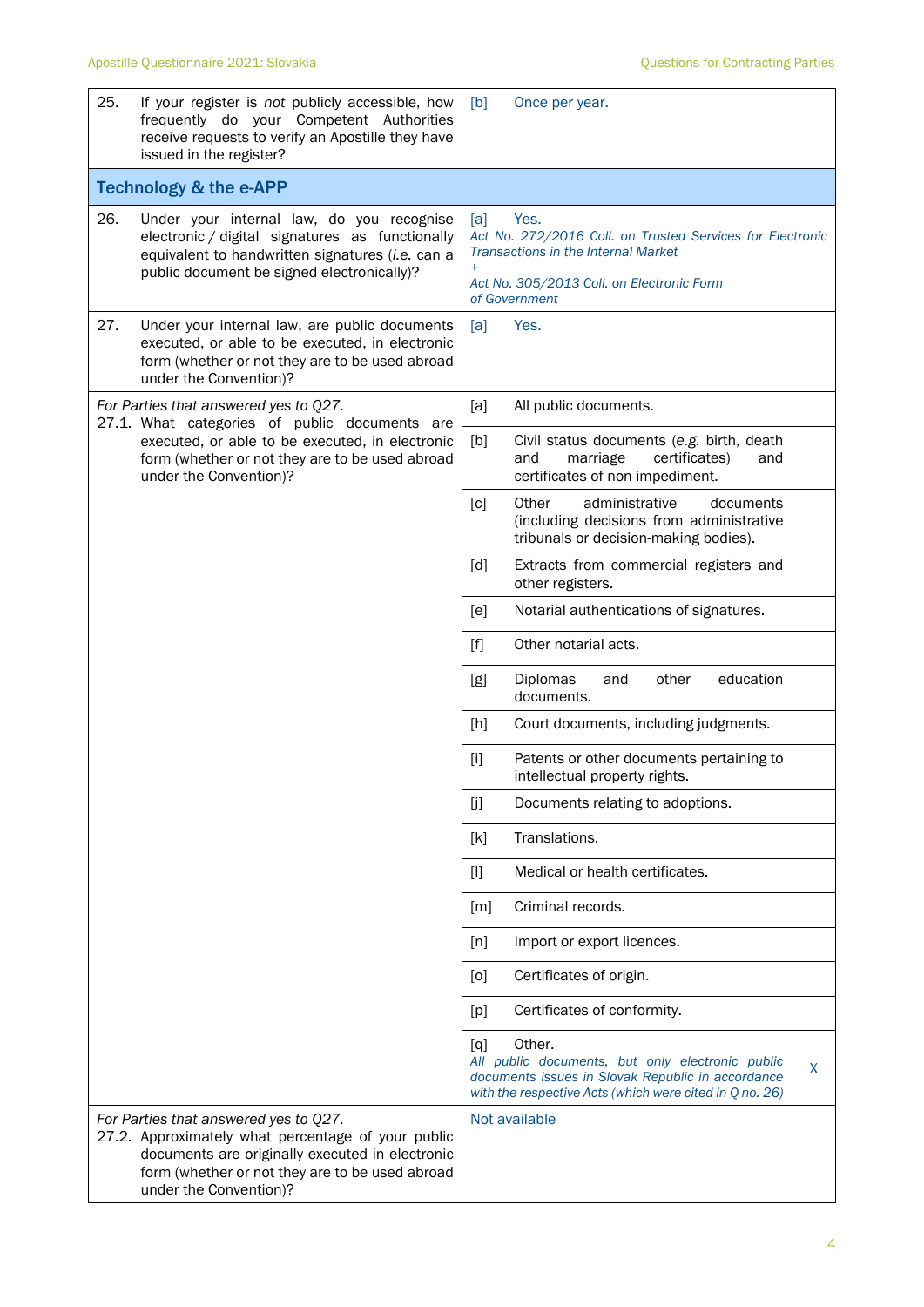| 25. | If your register is not publicly accessible, how<br>frequently do your Competent Authorities<br>receive requests to verify an Apostille they have<br>issued in the register?                                                | [b]        | Once per year.                                                                                                                                                                |   |
|-----|-----------------------------------------------------------------------------------------------------------------------------------------------------------------------------------------------------------------------------|------------|-------------------------------------------------------------------------------------------------------------------------------------------------------------------------------|---|
|     | <b>Technology &amp; the e-APP</b>                                                                                                                                                                                           |            |                                                                                                                                                                               |   |
| 26. | Under your internal law, do you recognise<br>electronic / digital signatures as functionally<br>equivalent to handwritten signatures (i.e. can a<br>public document be signed electronically)?                              | [a]<br>$+$ | Yes.<br>Act No. 272/2016 Coll. on Trusted Services for Electronic<br><b>Transactions in the Internal Market</b><br>Act No. 305/2013 Coll. on Electronic Form<br>of Government |   |
| 27. | Under your internal law, are public documents<br>executed, or able to be executed, in electronic<br>form (whether or not they are to be used abroad<br>under the Convention)?                                               | [a]        | Yes.                                                                                                                                                                          |   |
|     | For Parties that answered yes to Q27.<br>27.1. What categories of public documents are                                                                                                                                      | [a]        | All public documents.                                                                                                                                                         |   |
|     | executed, or able to be executed, in electronic<br>form (whether or not they are to be used abroad<br>under the Convention)?                                                                                                | [b]        | Civil status documents (e.g. birth, death<br>certificates)<br>and<br>marriage<br>and<br>certificates of non-impediment.                                                       |   |
|     |                                                                                                                                                                                                                             | [c]        | Other<br>administrative<br>documents<br>(including decisions from administrative<br>tribunals or decision-making bodies).                                                     |   |
|     |                                                                                                                                                                                                                             | [d]        | Extracts from commercial registers and<br>other registers.                                                                                                                    |   |
|     |                                                                                                                                                                                                                             | [e]        | Notarial authentications of signatures.                                                                                                                                       |   |
|     |                                                                                                                                                                                                                             | $[f]$      | Other notarial acts.                                                                                                                                                          |   |
|     |                                                                                                                                                                                                                             | [g]        | Diplomas<br>other<br>education<br>and<br>documents.                                                                                                                           |   |
|     |                                                                                                                                                                                                                             | [h]        | Court documents, including judgments.                                                                                                                                         |   |
|     |                                                                                                                                                                                                                             | $[1]$      | Patents or other documents pertaining to<br>intellectual property rights.                                                                                                     |   |
|     |                                                                                                                                                                                                                             | [j         | Documents relating to adoptions.                                                                                                                                              |   |
|     |                                                                                                                                                                                                                             | [k]        | Translations.                                                                                                                                                                 |   |
|     |                                                                                                                                                                                                                             | $[1]$      | Medical or health certificates.                                                                                                                                               |   |
|     |                                                                                                                                                                                                                             | [m]        | Criminal records.                                                                                                                                                             |   |
|     |                                                                                                                                                                                                                             | [n]        | Import or export licences.                                                                                                                                                    |   |
|     |                                                                                                                                                                                                                             | $\lceil$ O | Certificates of origin.                                                                                                                                                       |   |
|     |                                                                                                                                                                                                                             | [p]        | Certificates of conformity.                                                                                                                                                   |   |
|     |                                                                                                                                                                                                                             | [q]        | Other.<br>All public documents, but only electronic public<br>documents issues in Slovak Republic in accordance<br>with the respective Acts (which were cited in Q no. 26)    | X |
|     | For Parties that answered yes to Q27.<br>27.2. Approximately what percentage of your public<br>documents are originally executed in electronic<br>form (whether or not they are to be used abroad<br>under the Convention)? |            | Not available                                                                                                                                                                 |   |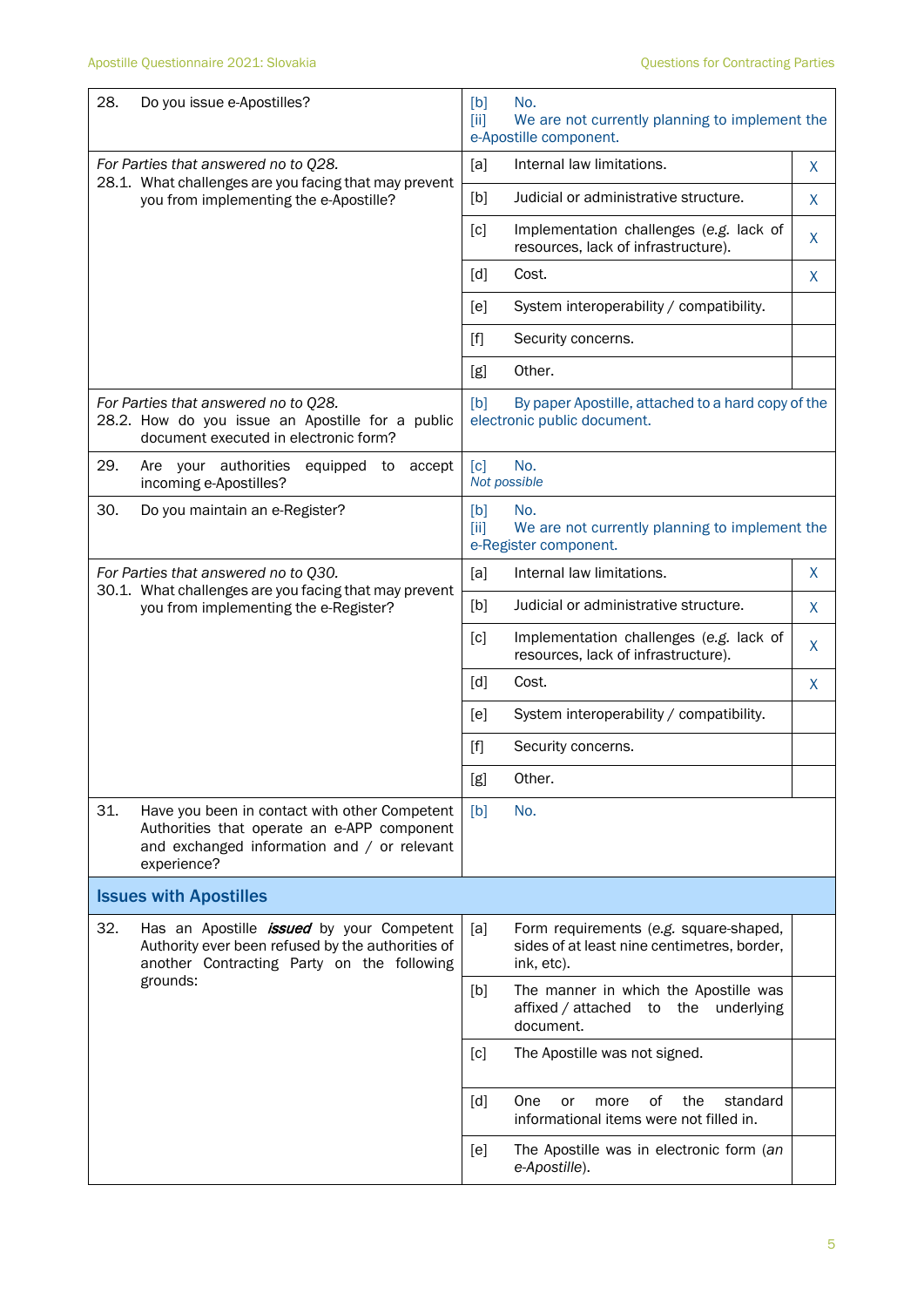| 28. | Do you issue e-Apostilles?                                                                                                                                      | [b]<br>[iii]                                                                                                                                                                                                                                          | No.<br>We are not currently planning to implement the<br>e-Apostille component.                     |    |
|-----|-----------------------------------------------------------------------------------------------------------------------------------------------------------------|-------------------------------------------------------------------------------------------------------------------------------------------------------------------------------------------------------------------------------------------------------|-----------------------------------------------------------------------------------------------------|----|
|     | For Parties that answered no to Q28.                                                                                                                            | [a]                                                                                                                                                                                                                                                   | Internal law limitations.                                                                           | X. |
|     | 28.1. What challenges are you facing that may prevent<br>you from implementing the e-Apostille?                                                                 | [b]                                                                                                                                                                                                                                                   | Judicial or administrative structure.                                                               | X  |
|     |                                                                                                                                                                 | [c]                                                                                                                                                                                                                                                   | Implementation challenges (e.g. lack of<br>resources, lack of infrastructure).                      | X  |
|     |                                                                                                                                                                 | [d]                                                                                                                                                                                                                                                   | Cost.                                                                                               | X  |
|     |                                                                                                                                                                 | [e]                                                                                                                                                                                                                                                   | System interoperability / compatibility.                                                            |    |
|     |                                                                                                                                                                 | $[f]$                                                                                                                                                                                                                                                 | Security concerns.                                                                                  |    |
|     |                                                                                                                                                                 | [g]                                                                                                                                                                                                                                                   | Other.                                                                                              |    |
|     | For Parties that answered no to Q28.<br>28.2. How do you issue an Apostille for a public<br>document executed in electronic form?                               | [b]                                                                                                                                                                                                                                                   | By paper Apostille, attached to a hard copy of the<br>electronic public document.                   |    |
| 29. | Are your authorities<br>equipped to<br>accept<br>incoming e-Apostilles?                                                                                         | [c]<br>Not possible                                                                                                                                                                                                                                   | No.                                                                                                 |    |
| 30. | Do you maintain an e-Register?                                                                                                                                  | [b]<br>[ii]                                                                                                                                                                                                                                           | No.<br>We are not currently planning to implement the<br>e-Register component.                      |    |
|     | For Parties that answered no to Q30.                                                                                                                            | [a]                                                                                                                                                                                                                                                   | Internal law limitations.                                                                           | X  |
|     | 30.1. What challenges are you facing that may prevent<br>you from implementing the e-Register?                                                                  | [b]                                                                                                                                                                                                                                                   | Judicial or administrative structure.                                                               | X  |
|     |                                                                                                                                                                 | [c]                                                                                                                                                                                                                                                   | Implementation challenges (e.g. lack of<br>resources, lack of infrastructure).                      | X  |
|     |                                                                                                                                                                 | [d]                                                                                                                                                                                                                                                   | Cost.                                                                                               | X  |
|     |                                                                                                                                                                 | [e]                                                                                                                                                                                                                                                   | System interoperability / compatibility.                                                            |    |
|     |                                                                                                                                                                 | $[f] % \begin{center} % \includegraphics[width=\linewidth]{imagesSupplemental_3.png} % \end{center} % \caption { % Our method can be used for the use of the image. % Note that the \emph{Left:} \label{fig:case} \vspace{-1em} % \label{fig:case} %$ | Security concerns.                                                                                  |    |
|     |                                                                                                                                                                 | [g]                                                                                                                                                                                                                                                   | Other.                                                                                              |    |
| 31. | Have you been in contact with other Competent<br>Authorities that operate an e-APP component<br>and exchanged information and / or relevant<br>experience?      | [b]                                                                                                                                                                                                                                                   | No.                                                                                                 |    |
|     | <b>Issues with Apostilles</b>                                                                                                                                   |                                                                                                                                                                                                                                                       |                                                                                                     |    |
| 32. | Has an Apostille <i>issued</i> by your Competent<br>Authority ever been refused by the authorities of<br>another Contracting Party on the following<br>grounds: | [a]                                                                                                                                                                                                                                                   | Form requirements (e.g. square-shaped,<br>sides of at least nine centimetres, border,<br>ink, etc). |    |
|     |                                                                                                                                                                 | [b]                                                                                                                                                                                                                                                   | The manner in which the Apostille was<br>affixed / attached to<br>the<br>underlying<br>document.    |    |
|     |                                                                                                                                                                 | [c]                                                                                                                                                                                                                                                   | The Apostille was not signed.                                                                       |    |
|     |                                                                                                                                                                 | [d]                                                                                                                                                                                                                                                   | One<br>0f<br>the<br>standard<br>or<br>more<br>informational items were not filled in.               |    |
|     |                                                                                                                                                                 | [e]                                                                                                                                                                                                                                                   | The Apostille was in electronic form (an<br>e-Apostille).                                           |    |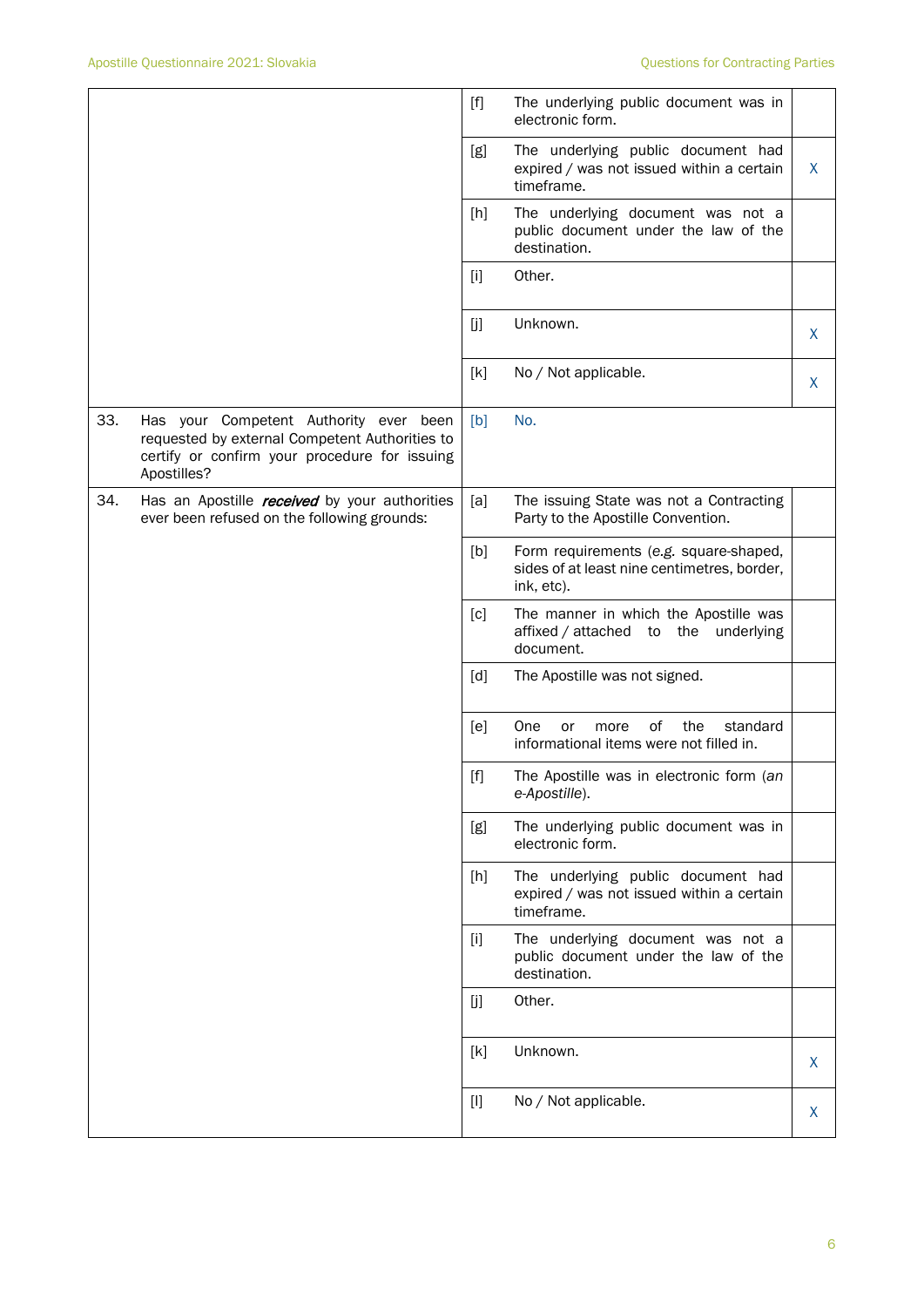|     |                                                                                                                                                          | $[f]$ | The underlying public document was in<br>electronic form.                                           |   |
|-----|----------------------------------------------------------------------------------------------------------------------------------------------------------|-------|-----------------------------------------------------------------------------------------------------|---|
|     |                                                                                                                                                          | [g]   | The underlying public document had<br>expired / was not issued within a certain<br>timeframe.       | X |
|     |                                                                                                                                                          | [h]   | The underlying document was not a<br>public document under the law of the<br>destination.           |   |
|     |                                                                                                                                                          | $[1]$ | Other.                                                                                              |   |
|     |                                                                                                                                                          | [j]   | Unknown.                                                                                            | X |
|     |                                                                                                                                                          | [k]   | No / Not applicable.                                                                                | X |
| 33. | Has your Competent Authority ever been<br>requested by external Competent Authorities to<br>certify or confirm your procedure for issuing<br>Apostilles? | [b]   | No.                                                                                                 |   |
| 34. | Has an Apostille <i>received</i> by your authorities<br>ever been refused on the following grounds:                                                      | [a]   | The issuing State was not a Contracting<br>Party to the Apostille Convention.                       |   |
|     |                                                                                                                                                          | [b]   | Form requirements (e.g. square-shaped,<br>sides of at least nine centimetres, border,<br>ink, etc). |   |
|     |                                                                                                                                                          | [c]   | The manner in which the Apostille was<br>affixed / attached to the underlying<br>document.          |   |
|     |                                                                                                                                                          | [d]   | The Apostille was not signed.                                                                       |   |
|     |                                                                                                                                                          | [e]   | of<br>the<br>One<br>standard<br>more<br>or<br>informational items were not filled in.               |   |
|     |                                                                                                                                                          | [f]   | The Apostille was in electronic form (an<br>e-Apostille).                                           |   |
|     |                                                                                                                                                          | [g]   | The underlying public document was in<br>electronic form.                                           |   |
|     |                                                                                                                                                          | [h]   | The underlying public document had<br>expired / was not issued within a certain<br>timeframe.       |   |
|     |                                                                                                                                                          | $[1]$ | The underlying document was not a<br>public document under the law of the<br>destination.           |   |
|     |                                                                                                                                                          | [j]   | Other.                                                                                              |   |
|     |                                                                                                                                                          | [k]   | Unknown.                                                                                            | X |
|     |                                                                                                                                                          | $[1]$ | No / Not applicable.                                                                                | X |